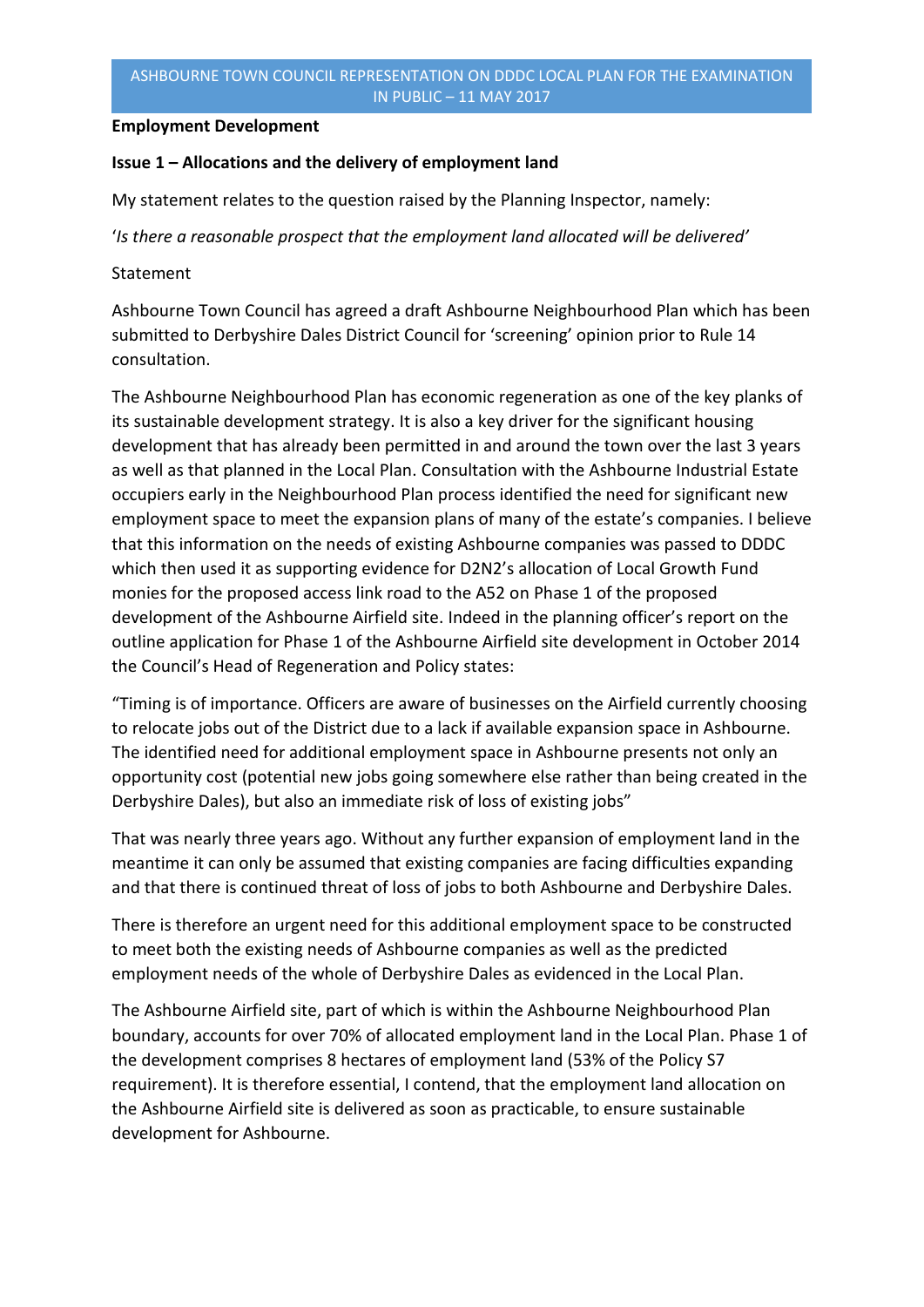# ASHBOURNE TOWN COUNCIL REPRESENTATION ON DDDC LOCAL PLAN FOR THE EXAMINATION IN PUBLIC – 11 MAY 2017

#### **Employment Development**

### **Issue 1 – Allocations and the delivery of employment land**

My statement relates to the question raised by the Planning Inspector, namely:

'*Is there a reasonable prospect that the employment land allocated will be delivered'*

#### Statement

Ashbourne Town Council has agreed a draft Ashbourne Neighbourhood Plan which has been submitted to Derbyshire Dales District Council for 'screening' opinion prior to Rule 14 consultation.

The Ashbourne Neighbourhood Plan has economic regeneration as one of the key planks of its sustainable development strategy. It is also a key driver for the significant housing development that has already been permitted in and around the town over the last 3 years as well as that planned in the Local Plan. Consultation with the Ashbourne Industrial Estate occupiers early in the Neighbourhood Plan process identified the need for significant new employment space to meet the expansion plans of many of the estate's companies. I believe that this information on the needs of existing Ashbourne companies was passed to DDDC which then used it as supporting evidence for D2N2's allocation of Local Growth Fund monies for the proposed access link road to the A52 on Phase 1 of the proposed development of the Ashbourne Airfield site. Indeed in the planning officer's report on the outline application for Phase 1 of the Ashbourne Airfield site development in October 2014 the Council's Head of Regeneration and Policy states:

"Timing is of importance. Officers are aware of businesses on the Airfield currently choosing to relocate jobs out of the District due to a lack if available expansion space in Ashbourne. The identified need for additional employment space in Ashbourne presents not only an opportunity cost (potential new jobs going somewhere else rather than being created in the Derbyshire Dales), but also an immediate risk of loss of existing jobs"

That was nearly three years ago. Without any further expansion of employment land in the meantime it can only be assumed that existing companies are facing difficulties expanding and that there is continued threat of loss of jobs to both Ashbourne and Derbyshire Dales.

There is therefore an urgent need for this additional employment space to be constructed to meet both the existing needs of Ashbourne companies as well as the predicted employment needs of the whole of Derbyshire Dales as evidenced in the Local Plan.

The Ashbourne Airfield site, part of which is within the Ashbourne Neighbourhood Plan boundary, accounts for over 70% of allocated employment land in the Local Plan. Phase 1 of the development comprises 8 hectares of employment land (53% of the Policy S7 requirement). It is therefore essential, I contend, that the employment land allocation on the Ashbourne Airfield site is delivered as soon as practicable, to ensure sustainable development for Ashbourne.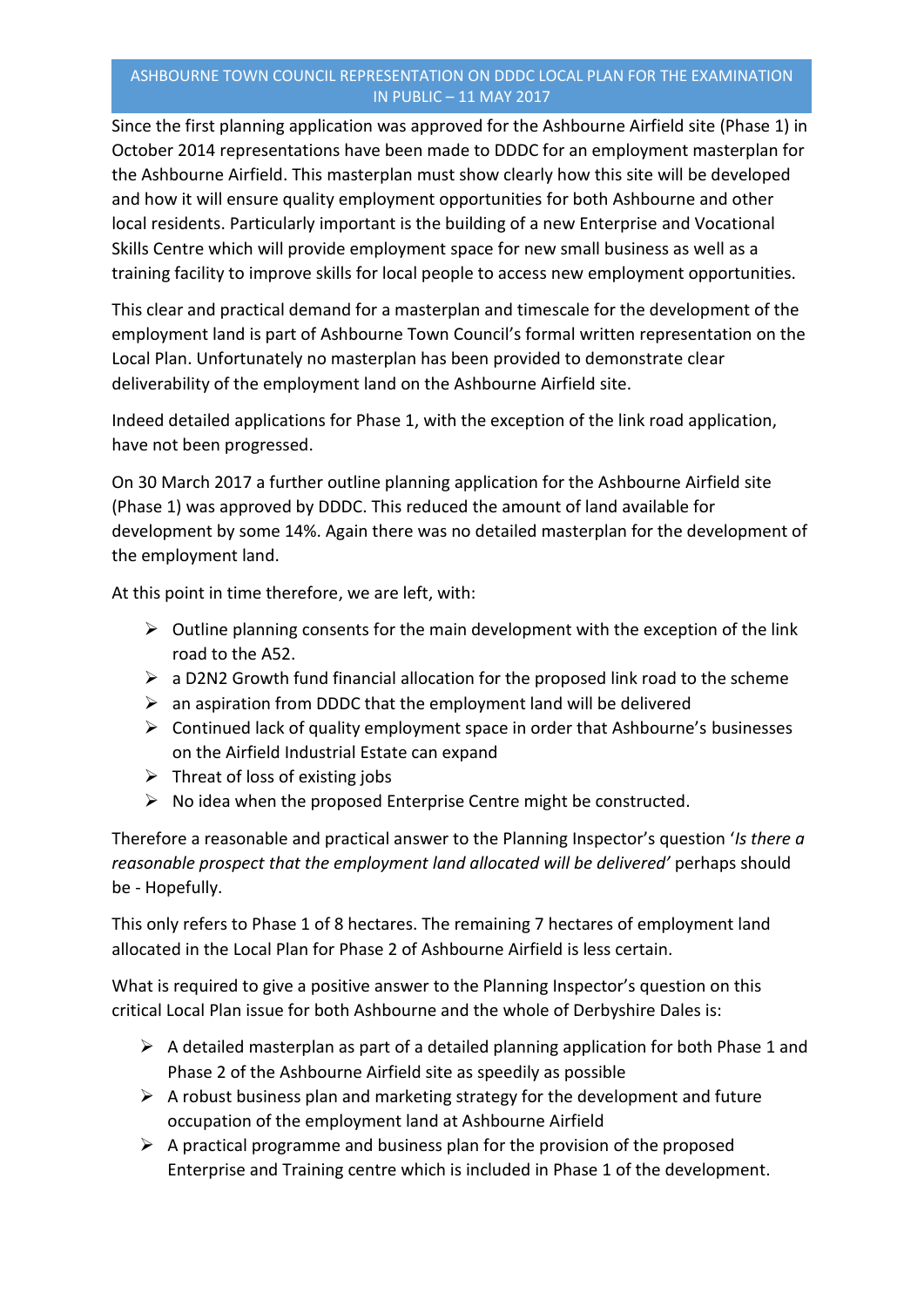# ASHBOURNE TOWN COUNCIL REPRESENTATION ON DDDC LOCAL PLAN FOR THE EXAMINATION IN PUBLIC – 11 MAY 2017

Since the first planning application was approved for the Ashbourne Airfield site (Phase 1) in October 2014 representations have been made to DDDC for an employment masterplan for the Ashbourne Airfield. This masterplan must show clearly how this site will be developed and how it will ensure quality employment opportunities for both Ashbourne and other local residents. Particularly important is the building of a new Enterprise and Vocational Skills Centre which will provide employment space for new small business as well as a training facility to improve skills for local people to access new employment opportunities.

This clear and practical demand for a masterplan and timescale for the development of the employment land is part of Ashbourne Town Council's formal written representation on the Local Plan. Unfortunately no masterplan has been provided to demonstrate clear deliverability of the employment land on the Ashbourne Airfield site.

Indeed detailed applications for Phase 1, with the exception of the link road application, have not been progressed.

On 30 March 2017 a further outline planning application for the Ashbourne Airfield site (Phase 1) was approved by DDDC. This reduced the amount of land available for development by some 14%. Again there was no detailed masterplan for the development of the employment land.

At this point in time therefore, we are left, with:

- $\triangleright$  Outline planning consents for the main development with the exception of the link road to the A52.
- $\triangleright$  a D2N2 Growth fund financial allocation for the proposed link road to the scheme
- $\triangleright$  an aspiration from DDDC that the employment land will be delivered
- $\triangleright$  Continued lack of quality employment space in order that Ashbourne's businesses on the Airfield Industrial Estate can expand
- $\triangleright$  Threat of loss of existing jobs
- $\triangleright$  No idea when the proposed Enterprise Centre might be constructed.

Therefore a reasonable and practical answer to the Planning Inspector's question '*Is there a reasonable prospect that the employment land allocated will be delivered'* perhaps should be - Hopefully.

This only refers to Phase 1 of 8 hectares. The remaining 7 hectares of employment land allocated in the Local Plan for Phase 2 of Ashbourne Airfield is less certain.

What is required to give a positive answer to the Planning Inspector's question on this critical Local Plan issue for both Ashbourne and the whole of Derbyshire Dales is:

- $\triangleright$  A detailed masterplan as part of a detailed planning application for both Phase 1 and Phase 2 of the Ashbourne Airfield site as speedily as possible
- $\triangleright$  A robust business plan and marketing strategy for the development and future occupation of the employment land at Ashbourne Airfield
- $\triangleright$  A practical programme and business plan for the provision of the proposed Enterprise and Training centre which is included in Phase 1 of the development.